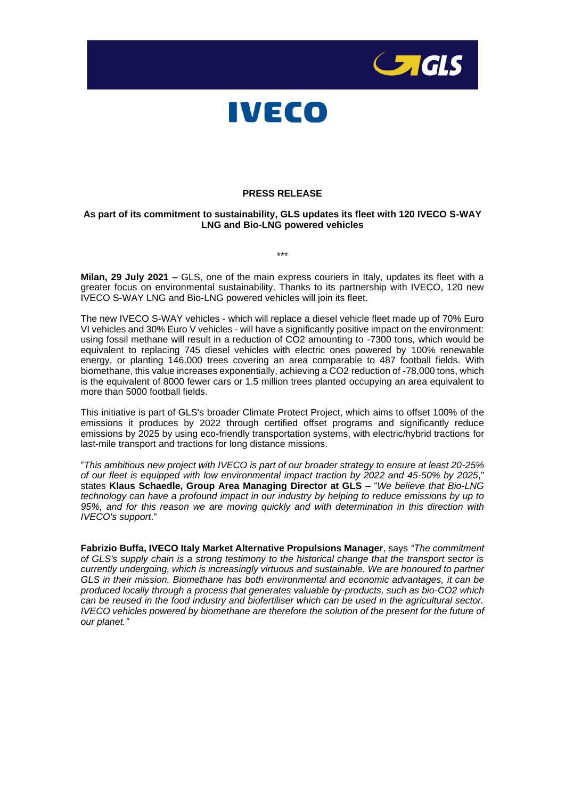



## **PRESS RELEASE**

## **As part of its commitment to sustainability, GLS updates its fleet with 120 IVECO S-WAY LNG and Bio-LNG powered vehicles**

**Milan, 29 July 2021 –** GLS, one of the main express couriers in Italy, updates its fleet with a greater focus on environmental sustainability. Thanks to its partnership with IVECO, 120 new IVECO S-WAY LNG and Bio-LNG powered vehicles will join its fleet.

The new IVECO S-WAY vehicles - which will replace a diesel vehicle fleet made up of 70% Euro VI vehicles and 30% Euro V vehicles - will have a significantly positive impact on the environment: using fossil methane will result in a reduction of CO2 amounting to -7300 tons, which would be equivalent to replacing 745 diesel vehicles with electric ones powered by 100% renewable energy, or planting 146,000 trees covering an area comparable to 487 football fields. With biomethane, this value increases exponentially, achieving a CO2 reduction of -78,000 tons, which is the equivalent of 8000 fewer cars or 1.5 million trees planted occupying an area equivalent to more than 5000 football fields.

This initiative is part of GLS's broader Climate Protect Project, which aims to offset 100% of the emissions it produces by 2022 through certified offset programs and significantly reduce emissions by 2025 by using eco-friendly transportation systems, with electric/hybrid tractions for last-mile transport and tractions for long distance missions.

"*This ambitious new project with IVECO is part of our broader strategy to ensure at least 20-25% of our fleet is equipped with low environmental impact traction by 2022 and 45-50% by 2025*," states **Klaus Schaedle, Group Area Managing Director at GLS** – "*We believe that Bio-LNG technology can have a profound impact in our industry by helping to reduce emissions by up to 95%, and for this reason we are moving quickly and with determination in this direction with IVECO's support*."

**Fabrizio Buffa, IVECO Italy Market Alternative Propulsions Manager**, says *"The commitment of GLS's supply chain is a strong testimony to the historical change that the transport sector is currently undergoing, which is increasingly virtuous and sustainable. We are honoured to partner GLS in their mission. Biomethane has both environmental and economic advantages, it can be produced locally through a process that generates valuable by-products, such as bio-CO2 which can be reused in the food industry and biofertiliser which can be used in the agricultural sector. IVECO vehicles powered by biomethane are therefore the solution of the present for the future of our planet."*

\*\*\*